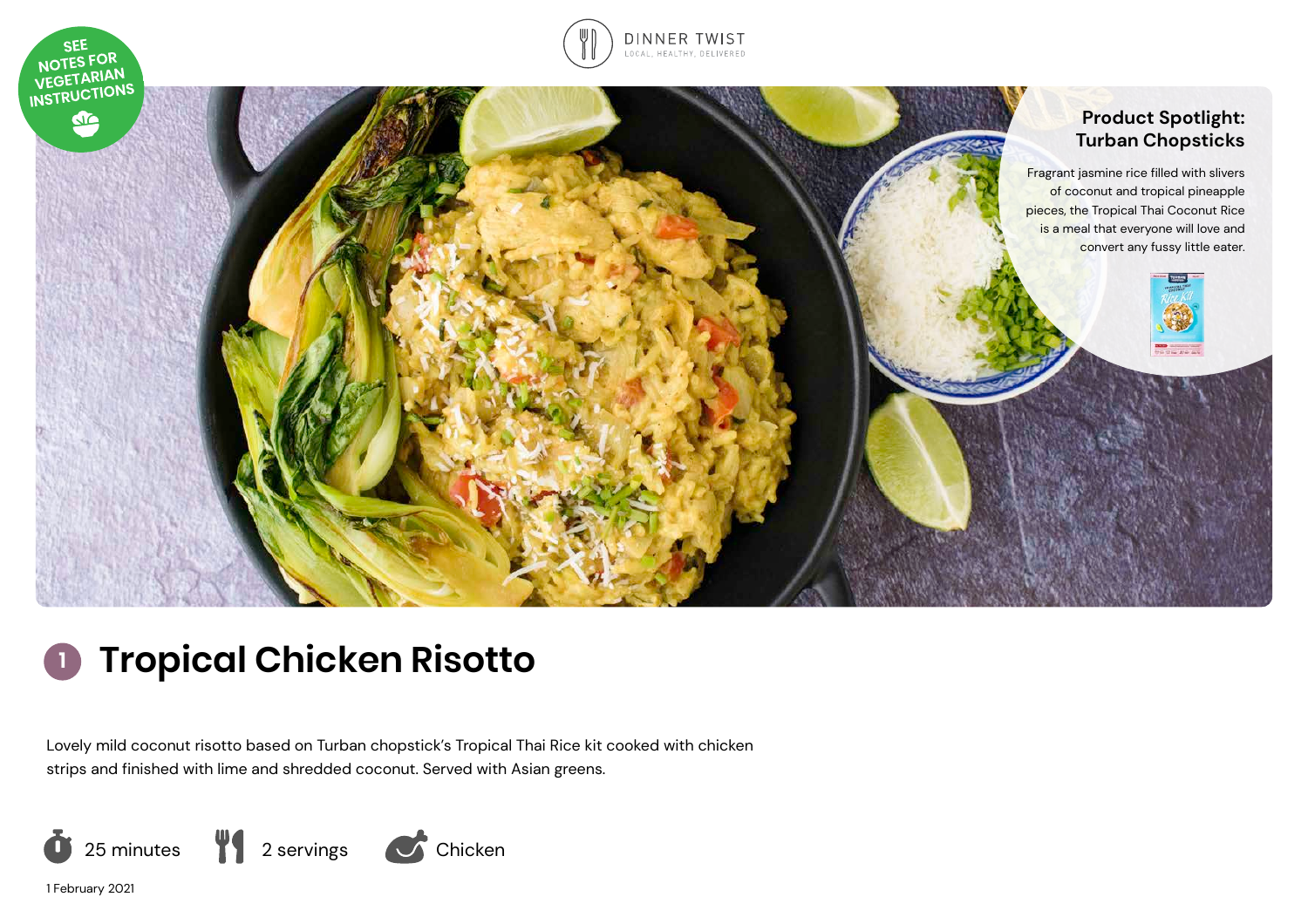

# **Tropical Chicken Risotto**

Lovely mild coconut risotto based on Turban chopstick's Tropical Thai Rice kit cooked with chicken strips and finished with lime and shredded coconut. Served with Asian greens.



1 February 2021